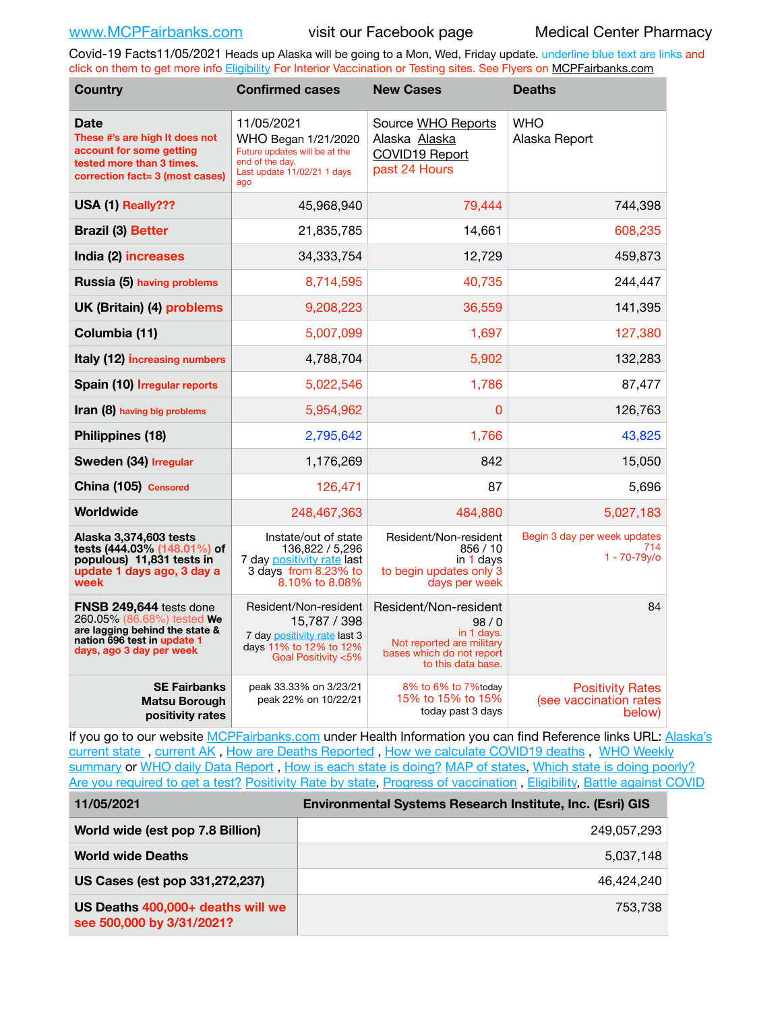Covid-19 Facts11/05/2021 Heads up Alaska will be going to a Mon, Wed, Friday update. underline blue text are links and click on them to get more info [Eligibility](http://dhss.alaska.gov/dph/Epi/id/Pages/COVID-19/VaccineAvailability.aspx) For Interior Vaccination or Testing sites. See Flyers on [MCPFairbanks.com](http://www.MCPFairbanks.com)

| <b>Country</b>                                                                                                                                     | <b>Confirmed cases</b>                                                                                                      | <b>New Cases</b>                                                                                                            | <b>Deaths</b>                                               |  |
|----------------------------------------------------------------------------------------------------------------------------------------------------|-----------------------------------------------------------------------------------------------------------------------------|-----------------------------------------------------------------------------------------------------------------------------|-------------------------------------------------------------|--|
| <b>Date</b><br>These #'s are high It does not<br>account for some getting<br>tested more than 3 times.<br>correction fact= 3 (most cases)          | 11/05/2021<br>WHO Began 1/21/2020<br>Future updates will be at the<br>end of the day.<br>Last update 11/02/21 1 days<br>ago | Source WHO Reports<br>Alaska Alaska<br>COVID19 Report<br>past 24 Hours                                                      | <b>WHO</b><br>Alaska Report                                 |  |
| USA (1) Really???                                                                                                                                  | 45,968,940                                                                                                                  | 79,444                                                                                                                      | 744,398                                                     |  |
| <b>Brazil (3) Better</b>                                                                                                                           | 21,835,785                                                                                                                  | 14,661                                                                                                                      | 608,235                                                     |  |
| India (2) increases                                                                                                                                | 34,333,754                                                                                                                  | 12,729                                                                                                                      | 459,873                                                     |  |
| <b>Russia (5) having problems</b>                                                                                                                  | 8,714,595                                                                                                                   | 40,735                                                                                                                      | 244,447                                                     |  |
| UK (Britain) (4) problems                                                                                                                          | 9,208,223                                                                                                                   | 36,559                                                                                                                      | 141,395                                                     |  |
| Columbia (11)                                                                                                                                      | 5,007,099                                                                                                                   | 1,697                                                                                                                       | 127,380                                                     |  |
| Italy (12) increasing numbers                                                                                                                      | 4,788,704                                                                                                                   | 5,902                                                                                                                       | 132,283                                                     |  |
| Spain (10) Irregular reports                                                                                                                       | 5,022,546                                                                                                                   | 1,786                                                                                                                       | 87,477                                                      |  |
| Iran (8) having big problems                                                                                                                       | 5,954,962                                                                                                                   | 0                                                                                                                           | 126,763                                                     |  |
| Philippines (18)                                                                                                                                   | 2,795,642                                                                                                                   | 1,766                                                                                                                       | 43,825                                                      |  |
| Sweden (34) Irregular                                                                                                                              | 1,176,269                                                                                                                   | 842                                                                                                                         | 15,050                                                      |  |
| China (105) Censored                                                                                                                               | 126,471                                                                                                                     | 87                                                                                                                          | 5,696                                                       |  |
| Worldwide                                                                                                                                          | 248,467,363                                                                                                                 | 484.880                                                                                                                     | 5,027,183                                                   |  |
| Alaska 3,374,603 tests<br>tests (444.03% (148.01%) of<br>populous) 11,831 tests in<br>update 1 days ago, 3 day a<br>week                           | Instate/out of state<br>136,822 / 5,296<br>7 day positivity rate last<br>3 days from 8.23% to<br>8.10% to 8.08%             | Resident/Non-resident<br>856/10<br>in 1 days<br>to begin updates only 3<br>days per week                                    | Begin 3 day per week updates<br>714<br>$1 - 70 - 79y$ o     |  |
| FNSB 249,644 tests done<br>260.05% (86.68%) tested We<br>are lagging behind the state &<br>nation 696 test in update 1<br>days, ago 3 day per week | Resident/Non-resident<br>15,787 / 398<br>7 day positivity rate last 3<br>days 11% to 12% to 12%<br>Goal Positivity <5%      | Resident/Non-resident<br>98/0<br>in 1 days.<br>Not reported are military<br>bases which do not report<br>to this data base. | 84                                                          |  |
| <b>SE Fairbanks</b><br><b>Matsu Borough</b><br>positivity rates                                                                                    | peak 33.33% on 3/23/21<br>peak 22% on 10/22/21                                                                              | 8% to 6% to 7%today<br>15% to 15% to 15%<br>today past 3 days                                                               | <b>Positivity Rates</b><br>(see vaccination rates<br>below) |  |

If you go to our website [MCPFairbanks.com](http://www.MCPFairbanks.com) under Health Information you can find Reference links URL: Alaska's [current state](https://coronavirus-response-alaska-dhss.hub.arcgis.com) , [current AK](http://dhss.alaska.gov/dph/Epi/id/Pages/COVID-19/communications.aspx#cases) , [How are Deaths Reported](http://dhss.alaska.gov/dph/Epi/id/Pages/COVID-19/deathcounts.aspx) , [How we calculate COVID19 deaths](https://coronavirus-response-alaska-dhss.hub.arcgis.com/search?collection=Document&groupIds=41ccb3344ebc4bd682c74073eba21f42) , [WHO Weekly](http://www.who.int)  [summary](http://www.who.int) or [WHO daily Data Report](https://covid19.who.int/table), [How is each state is doing?](https://www.msn.com/en-us/news/us/state-by-state-coronavirus-news/ar-BB13E1PX?fbclid=IwAR0_OBJH7lSyTN3ug_MsOeFnNgB1orTa9OBgilKJ7dhnwlVvHEsptuKkj1c) [MAP of states,](https://www.nationalgeographic.com/science/graphics/graphic-tracking-coronavirus-infections-us?cmpid=org=ngp::mc=crm-email::src=ngp::cmp=editorial::add=SpecialEdition_20210305&rid=B9A6DF5992658E8E35CE023113CFEA4C) [Which state is doing poorly?](https://bestlifeonline.com/covid-outbreak-your-state/?utm_source=nsltr&utm_medium=email&utm_content=covid-outbreak-your-state&utm_campaign=launch) [Are you required to get a test?](http://dhss.alaska.gov/dph/Epi/id/SiteAssets/Pages/HumanCoV/Whattodoafteryourtest.pdf) [Positivity Rate by state](https://coronavirus.jhu.edu/testing/individual-states/alaska), Progress of vaccination, [Eligibility,](http://dhss.alaska.gov/dph/Epi/id/Pages/COVID-19/VaccineAvailability.aspx) [Battle against COVID](https://www.nationalgeographic.com/science/graphics/graphic-tracking-coronavirus-infections-us?cmpid=org=ngp::mc=crm-email::src=ngp::cmp=editorial::add=SpecialEdition_20210219&rid=B9A6DF5992658E8E35CE023113CFEA4C)

| 11/05/2021                                                     | Environmental Systems Research Institute, Inc. (Esri) GIS |
|----------------------------------------------------------------|-----------------------------------------------------------|
| World wide (est pop 7.8 Billion)                               | 249,057,293                                               |
| <b>World wide Deaths</b>                                       | 5,037,148                                                 |
| US Cases (est pop 331,272,237)                                 | 46.424.240                                                |
| US Deaths 400,000+ deaths will we<br>see 500,000 by 3/31/2021? | 753.738                                                   |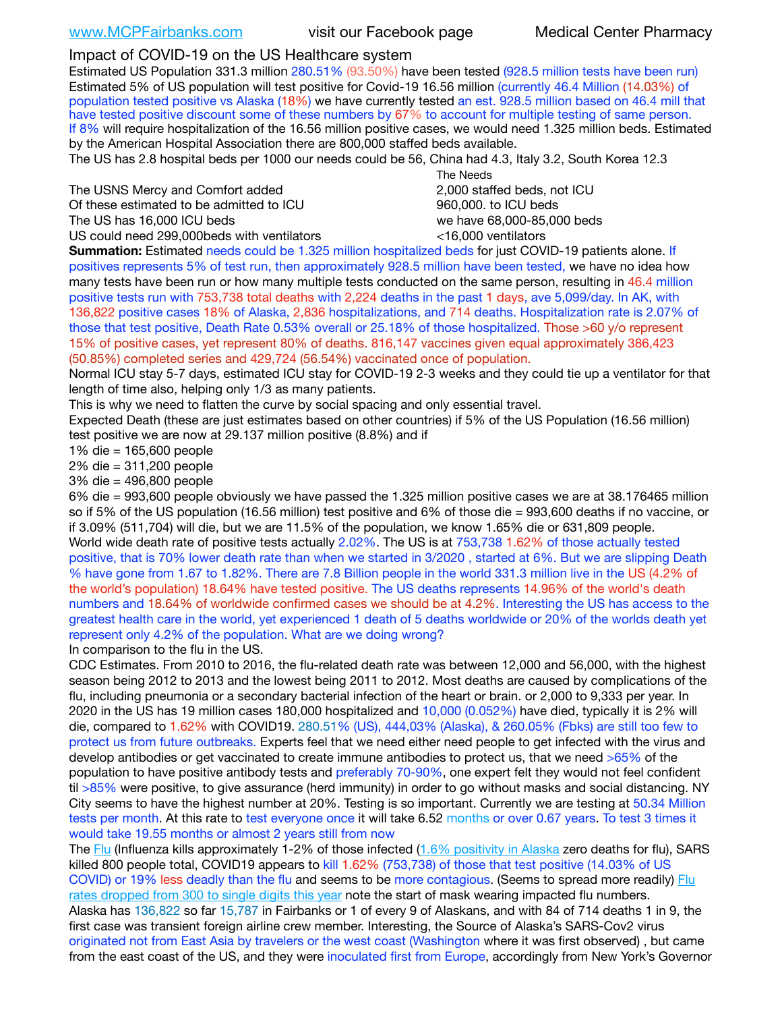## Impact of COVID-19 on the US Healthcare system

Estimated US Population 331.3 million 280.51% (93.50%) have been tested (928.5 million tests have been run) Estimated 5% of US population will test positive for Covid-19 16.56 million (currently 46.4 Million (14.03%) of population tested positive vs Alaska (18%) we have currently tested an est. 928.5 million based on 46.4 mill that have tested positive discount some of these numbers by 67% to account for multiple testing of same person. If 8% will require hospitalization of the 16.56 million positive cases, we would need 1.325 million beds. Estimated by the American Hospital Association there are 800,000 staffed beds available.

The US has 2.8 hospital beds per 1000 our needs could be 56, China had 4.3, Italy 3.2, South Korea 12.3

The USNS Mercy and Comfort added 2,000 staffed beds, not ICU Of these estimated to be admitted to ICU 860,000. to ICU beds The US has 16,000 ICU beds we have 68,000-85,000 beds US could need 299,000 beds with ventilators  $\leq 16,000$  ventilators

 The Needs

**Summation:** Estimated needs could be 1.325 million hospitalized beds for just COVID-19 patients alone. If positives represents 5% of test run, then approximately 928.5 million have been tested, we have no idea how many tests have been run or how many multiple tests conducted on the same person, resulting in 46.4 million positive tests run with 753,738 total deaths with 2,224 deaths in the past 1 days, ave 5,099/day. In AK, with 136,822 positive cases 18% of Alaska, 2,836 hospitalizations, and 714 deaths. Hospitalization rate is 2.07% of those that test positive, Death Rate 0.53% overall or 25.18% of those hospitalized. Those >60 y/o represent 15% of positive cases, yet represent 80% of deaths. 816,147 vaccines given equal approximately 386,423 (50.85%) completed series and 429,724 (56.54%) vaccinated once of population.

Normal ICU stay 5-7 days, estimated ICU stay for COVID-19 2-3 weeks and they could tie up a ventilator for that length of time also, helping only 1/3 as many patients.

This is why we need to flatten the curve by social spacing and only essential travel.

Expected Death (these are just estimates based on other countries) if 5% of the US Population (16.56 million) test positive we are now at 29.137 million positive (8.8%) and if

1% die = 165,600 people

2% die = 311,200 people

3% die = 496,800 people

6% die = 993,600 people obviously we have passed the 1.325 million positive cases we are at 38.176465 million so if 5% of the US population (16.56 million) test positive and 6% of those die = 993,600 deaths if no vaccine, or if 3.09% (511,704) will die, but we are 11.5% of the population, we know 1.65% die or 631,809 people. World wide death rate of positive tests actually 2.02%. The US is at 753,738 1.62% of those actually tested positive, that is 70% lower death rate than when we started in 3/2020 , started at 6%. But we are slipping Death % have gone from 1.67 to 1.82%. There are 7.8 Billion people in the world 331.3 million live in the US (4.2% of the world's population) 18.64% have tested positive. The US deaths represents 14.96% of the world's death numbers and 18.64% of worldwide confirmed cases we should be at 4.2%. Interesting the US has access to the greatest health care in the world, yet experienced 1 death of 5 deaths worldwide or 20% of the worlds death yet represent only 4.2% of the population. What are we doing wrong?

In comparison to the flu in the US.

CDC Estimates. From 2010 to 2016, the flu-related death rate was between 12,000 and 56,000, with the highest season being 2012 to 2013 and the lowest being 2011 to 2012. Most deaths are caused by complications of the flu, including pneumonia or a secondary bacterial infection of the heart or brain. or 2,000 to 9,333 per year. In 2020 in the US has 19 million cases 180,000 hospitalized and 10,000 (0.052%) have died, typically it is 2% will die, compared to 1.62% with COVID19. 280.51% (US), 444,03% (Alaska), & 260.05% (Fbks) are still too few to protect us from future outbreaks. Experts feel that we need either need people to get infected with the virus and develop antibodies or get vaccinated to create immune antibodies to protect us, that we need >65% of the population to have positive antibody tests and preferably 70-90%, one expert felt they would not feel confident til >85% were positive, to give assurance (herd immunity) in order to go without masks and social distancing. NY City seems to have the highest number at 20%. Testing is so important. Currently we are testing at 50.34 Million tests per month. At this rate to test everyone once it will take 6.52 months or over 0.67 years. To test 3 times it would take 19.55 months or almost 2 years still from now

The [Flu](https://lnks.gd/l/eyJhbGciOiJIUzI1NiJ9.eyJidWxsZXRpbl9saW5rX2lkIjoxMDMsInVyaSI6ImJwMjpjbGljayIsImJ1bGxldGluX2lkIjoiMjAyMTAyMjYuMzYwNDA3NTEiLCJ1cmwiOiJodHRwczovL3d3dy5jZGMuZ292L2ZsdS93ZWVrbHkvb3ZlcnZpZXcuaHRtIn0.ePMA_hsZ-pTnhWSyg1gHvHWYTu2XceVOt0JejxvP1WE/s/500544915/br/98428119752-l) (Influenza kills approximately 1-2% of those infected ([1.6% positivity in Alaska](http://dhss.alaska.gov/dph/Epi/id/SiteAssets/Pages/influenza/trends/Snapshot.pdf) zero deaths for flu), SARS killed 800 people total, COVID19 appears to kill 1.62% (753,738) of those that test positive (14.03% of US COVID) or 19% less deadly than the flu and seems to be more contagious. (Seems to spread more readily) [Flu](https://lnks.gd/l/eyJhbGciOiJIUzI1NiJ9.eyJidWxsZXRpbl9saW5rX2lkIjoxMDEsInVyaSI6ImJwMjpjbGljayIsImJ1bGxldGluX2lkIjoiMjAyMTAyMjYuMzYwNDA3NTEiLCJ1cmwiOiJodHRwOi8vZGhzcy5hbGFza2EuZ292L2RwaC9FcGkvaWQvUGFnZXMvaW5mbHVlbnphL2ZsdWluZm8uYXNweCJ9.oOe3nt2fww6XpsNhb4FZfmtPfPa-irGaldpkURBJhSo/s/500544915/br/98428119752-l)  [rates dropped from 300 to single digits this year](https://lnks.gd/l/eyJhbGciOiJIUzI1NiJ9.eyJidWxsZXRpbl9saW5rX2lkIjoxMDEsInVyaSI6ImJwMjpjbGljayIsImJ1bGxldGluX2lkIjoiMjAyMTAyMjYuMzYwNDA3NTEiLCJ1cmwiOiJodHRwOi8vZGhzcy5hbGFza2EuZ292L2RwaC9FcGkvaWQvUGFnZXMvaW5mbHVlbnphL2ZsdWluZm8uYXNweCJ9.oOe3nt2fww6XpsNhb4FZfmtPfPa-irGaldpkURBJhSo/s/500544915/br/98428119752-l) note the start of mask wearing impacted flu numbers. Alaska has 136,822 so far 15,787 in Fairbanks or 1 of every 9 of Alaskans, and with 84 of 714 deaths 1 in 9, the first case was transient foreign airline crew member. Interesting, the Source of Alaska's SARS-Cov2 virus originated not from East Asia by travelers or the west coast (Washington where it was first observed) , but came from the east coast of the US, and they were inoculated first from Europe, accordingly from New York's Governor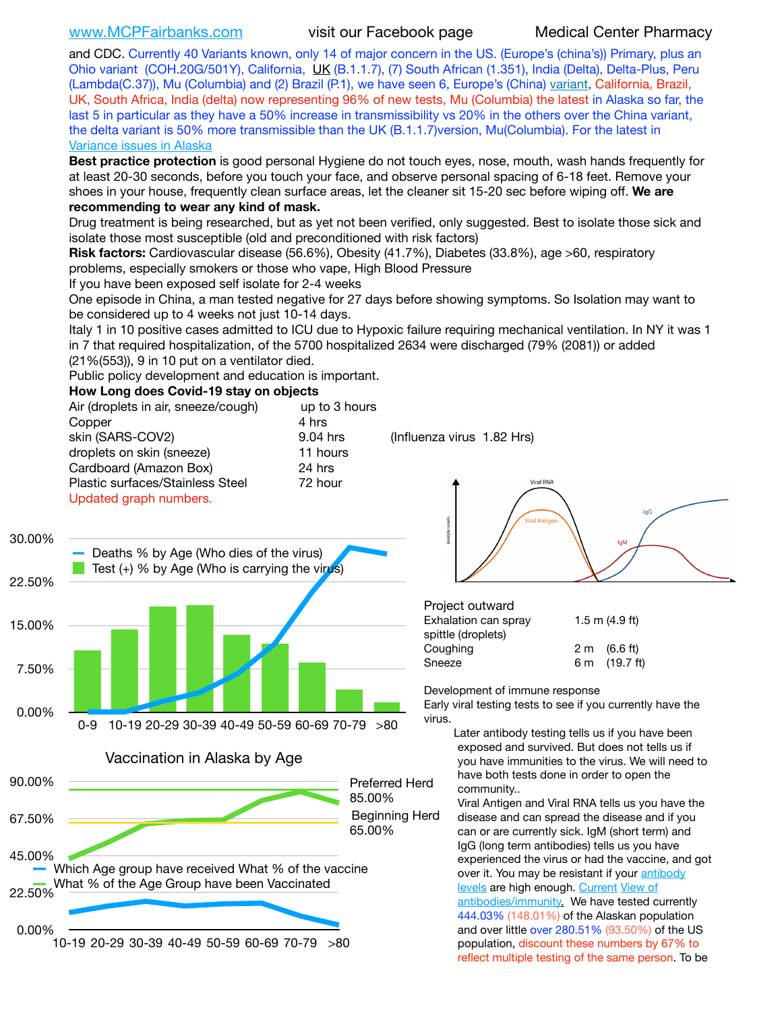[www.MCPFairbanks.com](http://www.MCPFairbanks.com) visit our Facebook page Medical Center Pharmacy

and CDC. Currently 40 Variants known, only 14 of major concern in the US. (Europe's (china's)) Primary, plus an Ohio variant (COH.20G/501Y), California, [UK](https://www.cdc.gov/coronavirus/2019-ncov/transmission/variant-cases.html) (B.1.1.7), (7) South African (1.351), India (Delta), Delta-Plus, Peru (Lambda(C.37)), Mu (Columbia) and (2) Brazil (P.1), we have seen 6, Europe's (China) [variant,](https://www.webmd.com/lung/news/20210318/cdc-who-create-threat-levels-for-covid-variants?ecd=wnl_cvd_031921&ctr=wnl-cvd-031921&mb=kYbf7DsHb7YGjh/1RUkcAW0T6iorImAU1TDZh18RYs0=_Support_titleLink_2) California, Brazil, UK, South Africa, India (delta) now representing 96% of new tests, Mu (Columbia) the latest in Alaska so far, the last 5 in particular as they have a 50% increase in transmissibility vs 20% in the others over the China variant, the delta variant is 50% more transmissible than the UK (B.1.1.7) version, Mu(Columbia). For the latest in [Variance issues in Alaska](https://lnks.gd/l/eyJhbGciOiJIUzI1NiJ9.eyJidWxsZXRpbl9saW5rX2lkIjoxMDgsInVyaSI6ImJwMjpjbGljayIsImJ1bGxldGluX2lkIjoiMjAyMTA4MDUuNDQxMzM4NzEiLCJ1cmwiOiJodHRwOi8vZGhzcy5hbGFza2EuZ292L2RwaC9FcGkvaWQvc2l0ZWFzc2V0cy9wYWdlcy9odW1hbmNvdi9BS1NlcUNvbl9HZW5vbWljU2l0dWF0aW9uUmVwb3J0LnBkZiJ9.wjCZc7vYm_CIgdjPTJyJ9ehoQjtub_KeZLTKgTIA69A/s/500544915/br/110405970878-l)

**Best practice protection** is good personal Hygiene do not touch eyes, nose, mouth, wash hands frequently for at least 20-30 seconds, before you touch your face, and observe personal spacing of 6-18 feet. Remove your shoes in your house, frequently clean surface areas, let the cleaner sit 15-20 sec before wiping off. **We are recommending to wear any kind of mask.**

Drug treatment is being researched, but as yet not been verified, only suggested. Best to isolate those sick and isolate those most susceptible (old and preconditioned with risk factors)

**Risk factors:** Cardiovascular disease (56.6%), Obesity (41.7%), Diabetes (33.8%), age >60, respiratory problems, especially smokers or those who vape, High Blood Pressure

If you have been exposed self isolate for 2-4 weeks

One episode in China, a man tested negative for 27 days before showing symptoms. So Isolation may want to be considered up to 4 weeks not just 10-14 days.

Italy 1 in 10 positive cases admitted to ICU due to Hypoxic failure requiring mechanical ventilation. In NY it was 1 in 7 that required hospitalization, of the 5700 hospitalized 2634 were discharged (79% (2081)) or added (21%(553)), 9 in 10 put on a ventilator died.

Public policy development and education is important.

## **How Long does Covid-19 stay on objects**

|                  | Air (droplets in air, sneeze/cough)<br>Copper<br>skin (SARS-COV2)<br>droplets on skin (sneeze)<br>Cardboard (Amazon Box)<br>Plastic surfaces/Stainless Steel | up to 3 hours<br>4 hrs<br>9.04 hrs<br>11 hours<br>24 hrs<br>72 hour |                       | (Influenza virus 1.82 Hrs)<br>Viral RNA                       |                                                                                                                                                                                                                                                                                                |  |
|------------------|--------------------------------------------------------------------------------------------------------------------------------------------------------------|---------------------------------------------------------------------|-----------------------|---------------------------------------------------------------|------------------------------------------------------------------------------------------------------------------------------------------------------------------------------------------------------------------------------------------------------------------------------------------------|--|
| 30.00%<br>22.50% | Updated graph numbers.<br>Deaths % by Age (Who dies of the virus)<br>Test $(+)$ % by Age (Who is carrying the virus)                                         |                                                                     |                       | <b>Viral Antige</b>                                           | lgG<br>lgM                                                                                                                                                                                                                                                                                     |  |
| 15.00%           |                                                                                                                                                              |                                                                     |                       | Project outward<br>Exhalation can spray<br>spittle (droplets) | 1.5 m $(4.9 ft)$                                                                                                                                                                                                                                                                               |  |
| 7.50%            |                                                                                                                                                              |                                                                     | Coughing<br>Sneeze    | Development of immune response                                | 2 m (6.6 ft)<br>6 m (19.7 ft)<br>Early viral testing tests to see if you currently have the                                                                                                                                                                                                    |  |
| 0.00%            | 10-19 20-29 30-39 40-49 50-59 60-69 70-79 >80<br>ი-9<br>Vaccination in Alaska by Age                                                                         |                                                                     | virus.                |                                                               | Later antibody testing tells us if you have been<br>exposed and survived. But does not tells us if<br>you have immunities to the virus. We will need to                                                                                                                                        |  |
| 90.00%           |                                                                                                                                                              | 85.00%                                                              | Preferred Herd        | community                                                     | have both tests done in order to open the<br>Viral Antigen and Viral RNA tells us you have the                                                                                                                                                                                                 |  |
| 67.50%           |                                                                                                                                                              | 65.00%                                                              | <b>Beginning Herd</b> |                                                               | disease and can spread the disease and if you<br>can or are currently sick. IgM (short term) and                                                                                                                                                                                               |  |
| 45.00%<br>22.50% | Which Age group have received What % of the vaccine<br>What % of the Age Group have been Vaccinated                                                          |                                                                     |                       |                                                               | IgG (long term antibodies) tells us you have<br>experienced the virus or had the vaccine, and got<br>over it. You may be resistant if your antibody<br>levels are high enough. Current View of<br>antibodies/immunity. We have tested currently<br>444.03% (148.01%) of the Alaskan population |  |
| 0.00%            | 10-19 20-29 30-39 40-49 50-59 60-69 70-79                                                                                                                    | >80                                                                 |                       |                                                               | and over little over 280.51% (93.50%) of the US<br>population, discount these numbers by 67% to<br>reflect multiple testing of the same person. To be                                                                                                                                          |  |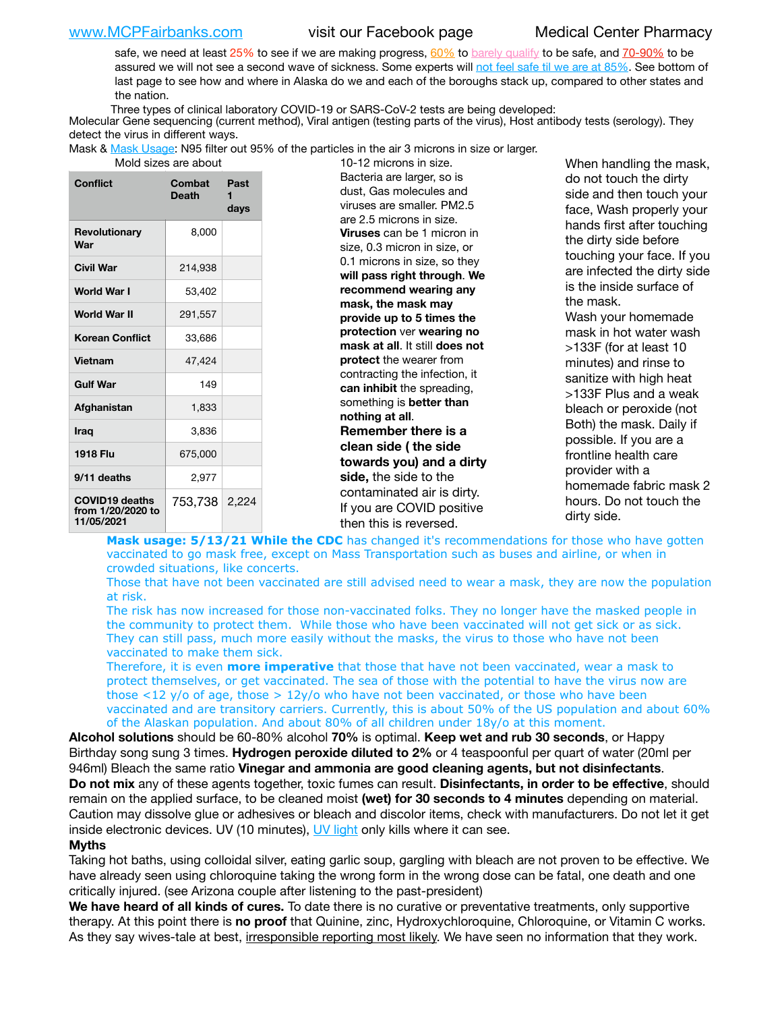[www.MCPFairbanks.com](http://www.MCPFairbanks.com) visit our Facebook page Medical Center Pharmacy

safe, we need at least 25% to see if we are making progress, [60%](https://www.jhsph.edu/covid-19/articles/achieving-herd-immunity-with-covid19.html) to [barely qualify](https://www.nature.com/articles/d41586-020-02948-4) to be safe, and [70-90%](https://www.mayoclinic.org/herd-immunity-and-coronavirus/art-20486808) to be assured we will not see a second wave of sickness. Some experts will [not feel safe til we are at 85%](https://www.bannerhealth.com/healthcareblog/teach-me/what-is-herd-immunity). See bottom of last page to see how and where in Alaska do we and each of the boroughs stack up, compared to other states and the nation.

Three types of clinical laboratory COVID-19 or SARS-CoV-2 tests are being developed:

Molecular Gene sequencing (current method), Viral antigen (testing parts of the virus), Host antibody tests (serology). They detect the virus in different ways.

Mask & [Mask Usage:](https://www.nationalgeographic.com/history/2020/03/how-cities-flattened-curve-1918-spanish-flu-pandemic-coronavirus/) N95 filter out 95% of the particles in the air 3 microns in size or larger.

| Conflict                                                 | Combat<br><b>Death</b> | Past<br>1<br>days |
|----------------------------------------------------------|------------------------|-------------------|
| Revolutionary<br>War                                     | 8,000                  |                   |
| Civil War                                                | 214,938                |                   |
| World War I                                              | 53,402                 |                   |
| World War II                                             | 291,557                |                   |
| <b>Korean Conflict</b>                                   | 33,686                 |                   |
| <b>Vietnam</b>                                           | 47.424                 |                   |
| <b>Gulf War</b>                                          | 149                    |                   |
| Afghanistan                                              | 1,833                  |                   |
| <b>Iraq</b>                                              | 3,836                  |                   |
| <b>1918 Flu</b>                                          | 675,000                |                   |
| 9/11 deaths                                              | 2,977                  |                   |
| <b>COVID19 deaths</b><br>from 1/20/2020 to<br>11/05/2021 | 753,738                | 2.224             |

out and sizes are about 10-12 microns in size. Bacteria are larger, so is dust, Gas molecules and viruses are smaller. PM2.5 are 2.5 microns in size. **Viruses** can be 1 micron in size, 0.3 micron in size, or 0.1 microns in size, so they **will pass right through**. **We recommend wearing any mask, the mask may provide up to 5 times the protection** ver **wearing no mask at all**. It still **does not protect** the wearer from contracting the infection, it **can inhibit** the spreading, something is **better than nothing at all**. **Remember there is a clean side ( the side towards you) and a dirty side,** the side to the contaminated air is dirty. If you are COVID positive then this is reversed.

When handling the mask, do not touch the dirty side and then touch your face, Wash properly your hands first after touching the dirty side before touching your face. If you are infected the dirty side is the inside surface of the mask. Wash your homemade mask in hot water wash >133F (for at least 10 minutes) and rinse to sanitize with high heat >133F Plus and a weak bleach or peroxide (not Both) the mask. Daily if possible. If you are a frontline health care provider with a homemade fabric mask 2 hours. Do not touch the dirty side.

**Mask usage: 5/13/21 While the CDC** has changed it's recommendations for those who have gotten vaccinated to go mask free, except on Mass Transportation such as buses and airline, or when in crowded situations, like concerts.

Those that have not been vaccinated are still advised need to wear a mask, they are now the population at risk.

The risk has now increased for those non-vaccinated folks. They no longer have the masked people in the community to protect them. While those who have been vaccinated will not get sick or as sick. They can still pass, much more easily without the masks, the virus to those who have not been vaccinated to make them sick.

Therefore, it is even **more imperative** that those that have not been vaccinated, wear a mask to protect themselves, or get vaccinated. The sea of those with the potential to have the virus now are those <12 y/o of age, those >  $12y$ /o who have not been vaccinated, or those who have been vaccinated and are transitory carriers. Currently, this is about 50% of the US population and about 60% of the Alaskan population. And about 80% of all children under 18y/o at this moment.

**Alcohol solutions** should be 60-80% alcohol **70%** is optimal. **Keep wet and rub 30 seconds**, or Happy Birthday song sung 3 times. **Hydrogen peroxide diluted to 2%** or 4 teaspoonful per quart of water (20ml per 946ml) Bleach the same ratio **Vinegar and ammonia are good cleaning agents, but not disinfectants**. **Do not mix** any of these agents together, toxic fumes can result. **Disinfectants, in order to be effective**, should remain on the applied surface, to be cleaned moist **(wet) for 30 seconds to 4 minutes** depending on material. Caution may dissolve glue or adhesives or bleach and discolor items, check with manufacturers. Do not let it get inside electronic devices. UV (10 minutes), [UV light](http://www.docreviews.me/best-uv-boxes-2020/?fbclid=IwAR3bvFtXB48OoBBSvYvTEnKuHNPbipxM6jUo82QUSw9wckxjC7wwRZWabGw) only kills where it can see.

## **Myths**

Taking hot baths, using colloidal silver, eating garlic soup, gargling with bleach are not proven to be effective. We have already seen using chloroquine taking the wrong form in the wrong dose can be fatal, one death and one critically injured. (see Arizona couple after listening to the past-president)

**We have heard of all kinds of cures.** To date there is no curative or preventative treatments, only supportive therapy. At this point there is **no proof** that Quinine, zinc, Hydroxychloroquine, Chloroquine, or Vitamin C works. As they say wives-tale at best, irresponsible reporting most likely. We have seen no information that they work.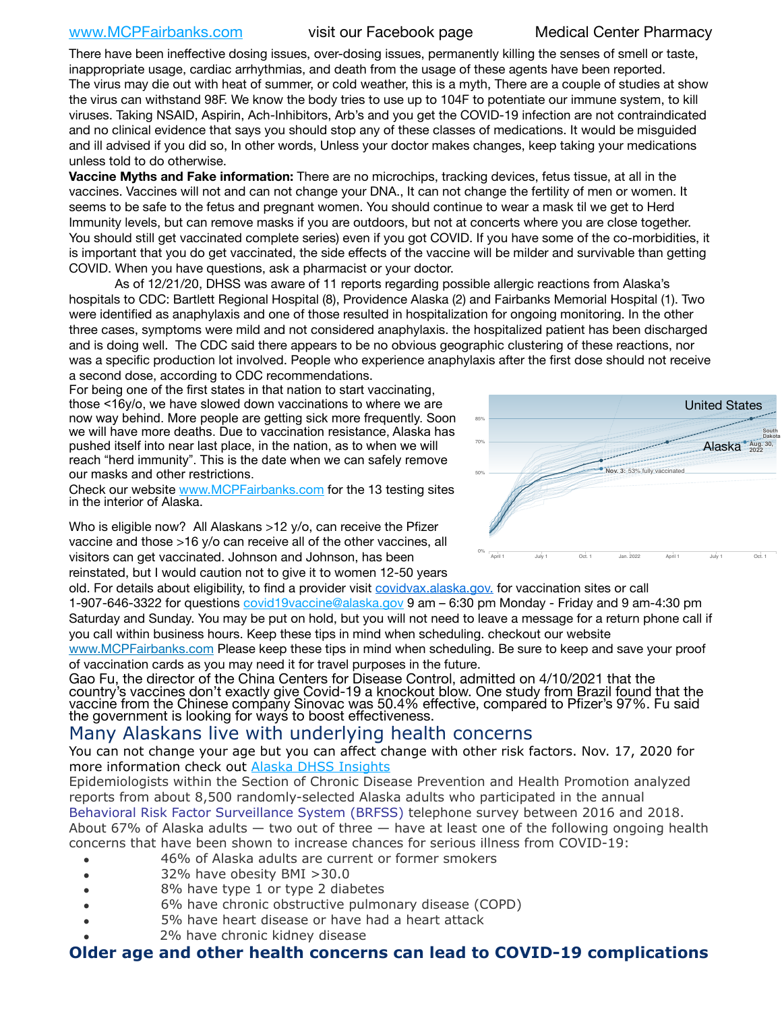## [www.MCPFairbanks.com](http://www.MCPFairbanks.com) visit our Facebook page Medical Center Pharmacy

There have been ineffective dosing issues, over-dosing issues, permanently killing the senses of smell or taste, inappropriate usage, cardiac arrhythmias, and death from the usage of these agents have been reported. The virus may die out with heat of summer, or cold weather, this is a myth, There are a couple of studies at show the virus can withstand 98F. We know the body tries to use up to 104F to potentiate our immune system, to kill viruses. Taking NSAID, Aspirin, Ach-Inhibitors, Arb's and you get the COVID-19 infection are not contraindicated and no clinical evidence that says you should stop any of these classes of medications. It would be misguided and ill advised if you did so, In other words, Unless your doctor makes changes, keep taking your medications unless told to do otherwise.

**Vaccine Myths and Fake information:** There are no microchips, tracking devices, fetus tissue, at all in the vaccines. Vaccines will not and can not change your DNA., It can not change the fertility of men or women. It seems to be safe to the fetus and pregnant women. You should continue to wear a mask til we get to Herd Immunity levels, but can remove masks if you are outdoors, but not at concerts where you are close together. You should still get vaccinated complete series) even if you got COVID. If you have some of the co-morbidities, it is important that you do get vaccinated, the side effects of the vaccine will be milder and survivable than getting COVID. When you have questions, ask a pharmacist or your doctor.

As of 12/21/20, DHSS was aware of 11 reports regarding possible allergic reactions from Alaska's hospitals to CDC: Bartlett Regional Hospital (8), Providence Alaska (2) and Fairbanks Memorial Hospital (1). Two were identified as anaphylaxis and one of those resulted in hospitalization for ongoing monitoring. In the other three cases, symptoms were mild and not considered anaphylaxis. the hospitalized patient has been discharged and is doing well. The CDC said there appears to be no obvious geographic clustering of these reactions, nor was a specific production lot involved. People who experience anaphylaxis after the first dose should not receive a second dose, according to CDC recommendations. p neer ar United States

For being one of the first states in that nation to start vaccinating, those <16y/o, we have slowed down vaccinations to where we are now way behind. More people are getting sick more frequently. Soon we will have more deaths. Due to vaccination resistance, Alaska has pushed itself into near last place, in the nation, as to when we will reach "herd immunity". This is the date when we can safely remove our masks and other restrictions.

Check our website [www.MCPFairbanks.com](http://www.MCPFairbanks.com) for the 13 testing sites in the interior of Alaska.

Who is eligible now? All Alaskans >12 y/o, can receive the Pfizer vaccine and those >16 y/o can receive all of the other vaccines, all visitors can get vaccinated. Johnson and Johnson, has been reinstated, but I would caution not to give it to women 12-50 years



old. For details about eligibility, to find a provider visit **[covidvax.alaska.gov.](https://lnks.gd/l/eyJhbGciOiJIUzI1NiJ9.eyJidWxsZXRpbl9saW5rX2lkIjoxMDYsInVyaSI6ImJwMjpjbGljayIsImJ1bGxldGluX2lkIjoiMjAyMTAxMjguMzQwODU3NjEiLCJ1cmwiOiJodHRwOi8vZGhzcy5hbGFza2EuZ292L2RwaC9FcGkvaWQvUGFnZXMvQ09WSUQtMTkvdmFjY2luZS5hc3B4In0.-Xwhl42jAWOMS7ewfS85uxwrwjohCso3Sb81DuDKtxU/s/500544915/br/93796640171-l)** for vaccination sites or call 1-907-646-3322 for questions [covid19vaccine@alaska.gov](mailto:covid19vaccine@alaska.gov?subject=COVID19%20Vaccine%20questions) 9 am – 6:30 pm Monday - Friday and 9 am-4:30 pm Saturday and Sunday. You may be put on hold, but you will not need to leave a message for a return phone call if you call within business hours. Keep these tips in mind when scheduling. checkout our website

[www.MCPFairbanks.com](http://www.MCPFairbanks.com) Please keep these tips in mind when scheduling. Be sure to keep and save your proof of vaccination cards as you may need it for travel purposes in the future.

Gao Fu, the director of the China Centers for Disease Control, admitted on 4/10/2021 that the country's vaccines don't exactly give Covid-19 a knockout blow. One study from Brazil found that the vaccine from the Chinese company Sinovac was 50.4% effective, compared to Pfizer's 97%. Fu said the government is looking for ways to boost effectiveness.

# Many Alaskans live with underlying health concerns

You can not change your age but you can affect change with other risk factors. Nov. 17, 2020 for more information check out [Alaska DHSS Insights](http://dhss.alaska.gov/dph/Epi/id/Pages/COVID-19/blog/20201117.aspx)

Epidemiologists within the Section of Chronic Disease Prevention and Health Promotion analyzed reports from about 8,500 randomly-selected Alaska adults who participated in the annual [Behavioral Risk Factor Surveillance System \(BRFSS\)](http://dhss.alaska.gov/dph/Chronic/Pages/brfss/default.aspx) telephone survey between 2016 and 2018. About 67% of Alaska adults — two out of three — have at least one of the following ongoing health concerns that have been shown to increase chances for serious illness from COVID-19:

- 46% of Alaska adults are current or former smokers
- 32% have obesity BMI >30.0
- 8% have type 1 or type 2 diabetes
- 6% have chronic obstructive pulmonary disease (COPD)
- 5% have heart disease or have had a heart attack
- 2% have chronic kidney disease

# **Older age and other health concerns can lead to COVID-19 complications**